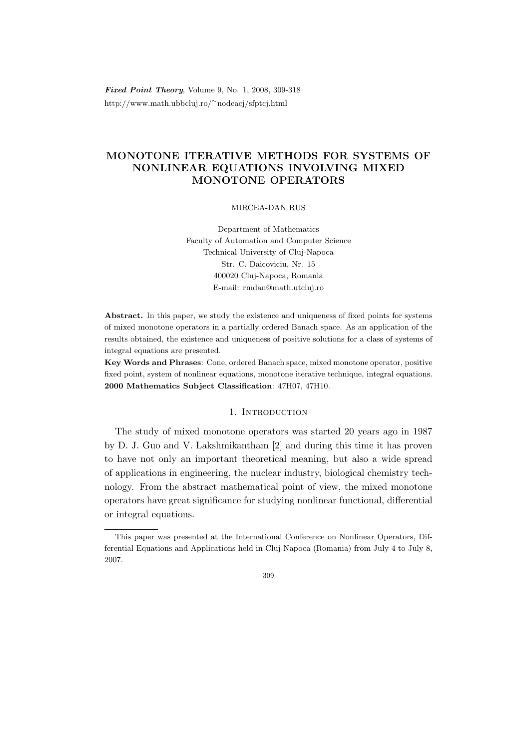Fixed Point Theory, Volume 9, No. 1, 2008, 309-318 http://www.math.ubbcluj.ro/<sup>∼</sup>nodeacj/sfptcj.html

# MONOTONE ITERATIVE METHODS FOR SYSTEMS OF NONLINEAR EQUATIONS INVOLVING MIXED MONOTONE OPERATORS

### MIRCEA-DAN RUS

Department of Mathematics Faculty of Automation and Computer Science Technical University of Cluj-Napoca Str. C. Daicoviciu, Nr. 15 400020 Cluj-Napoca, Romania E-mail: rmdan@math.utcluj.ro

Abstract. In this paper, we study the existence and uniqueness of fixed points for systems of mixed monotone operators in a partially ordered Banach space. As an application of the results obtained, the existence and uniqueness of positive solutions for a class of systems of integral equations are presented.

Key Words and Phrases: Cone, ordered Banach space, mixed monotone operator, positive fixed point, system of nonlinear equations, monotone iterative technique, integral equations. 2000 Mathematics Subject Classification: 47H07, 47H10.

### 1. Introduction

The study of mixed monotone operators was started 20 years ago in 1987 by D. J. Guo and V. Lakshmikantham [2] and during this time it has proven to have not only an important theoretical meaning, but also a wide spread of applications in engineering, the nuclear industry, biological chemistry technology. From the abstract mathematical point of view, the mixed monotone operators have great significance for studying nonlinear functional, differential or integral equations.

This paper was presented at the International Conference on Nonlinear Operators, Differential Equations and Applications held in Cluj-Napoca (Romania) from July 4 to July 8, 2007.

<sup>309</sup>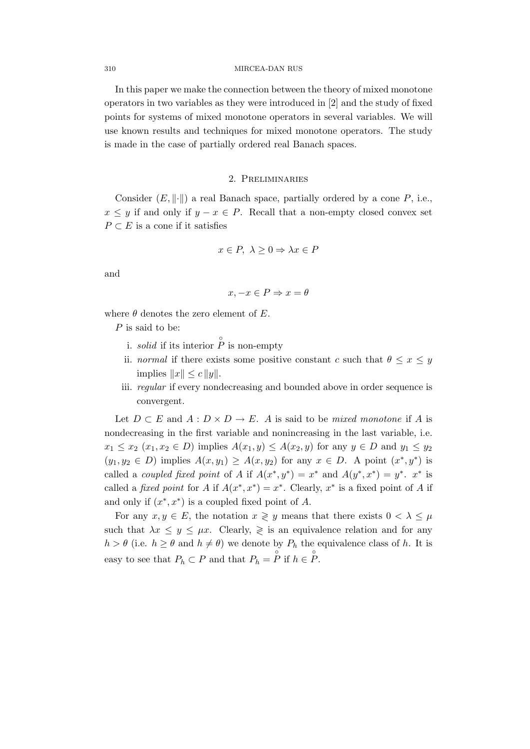#### 310 MIRCEA-DAN RUS

In this paper we make the connection between the theory of mixed monotone operators in two variables as they were introduced in [2] and the study of fixed points for systems of mixed monotone operators in several variables. We will use known results and techniques for mixed monotone operators. The study is made in the case of partially ordered real Banach spaces.

# 2. Preliminaries

Consider  $(E, \|\cdot\|)$  a real Banach space, partially ordered by a cone P, i.e.,  $x \leq y$  if and only if  $y - x \in P$ . Recall that a non-empty closed convex set  $P \subset E$  is a cone if it satisfies

$$
x \in P, \ \lambda \ge 0 \Rightarrow \lambda x \in P
$$

and

$$
x, -x \in P \Rightarrow x = \theta
$$

where  $\theta$  denotes the zero element of E.

P is said to be:

- i. *solid* if its interior  $\hat{P}$  is non-empty
- ii. normal if there exists some positive constant c such that  $\theta \leq x \leq y$ implies  $||x|| \leq c ||y||$ .
- iii. regular if every nondecreasing and bounded above in order sequence is convergent.

Let  $D \subset E$  and  $A : D \times D \to E$ . A is said to be mixed monotone if A is nondecreasing in the first variable and nonincreasing in the last variable, i.e.  $x_1 \leq x_2$   $(x_1, x_2 \in D)$  implies  $A(x_1, y) \leq A(x_2, y)$  for any  $y \in D$  and  $y_1 \leq y_2$  $(y_1, y_2 \in D)$  implies  $A(x, y_1) \geq A(x, y_2)$  for any  $x \in D$ . A point  $(x^*, y^*)$  is called a *coupled fixed point* of A if  $A(x^*, y^*) = x^*$  and  $A(y^*, x^*) = y^*$ .  $x^*$  is called a *fixed point* for A if  $A(x^*, x^*) = x^*$ . Clearly,  $x^*$  is a fixed point of A if and only if  $(x^*, x^*)$  is a coupled fixed point of A.

For any  $x, y \in E$ , the notation  $x \geq y$  means that there exists  $0 < \lambda \leq \mu$ such that  $\lambda x \leq y \leq \mu x$ . Clearly,  $\geq$  is an equivalence relation and for any  $h > \theta$  (i.e.  $h \ge \theta$  and  $h \ne \theta$ ) we denote by  $P_h$  the equivalence class of h. It is easy to see that  $P_h \subset P$  and that  $P_h = \overline{P}$  if  $h \in \overset{\circ}{P}$ .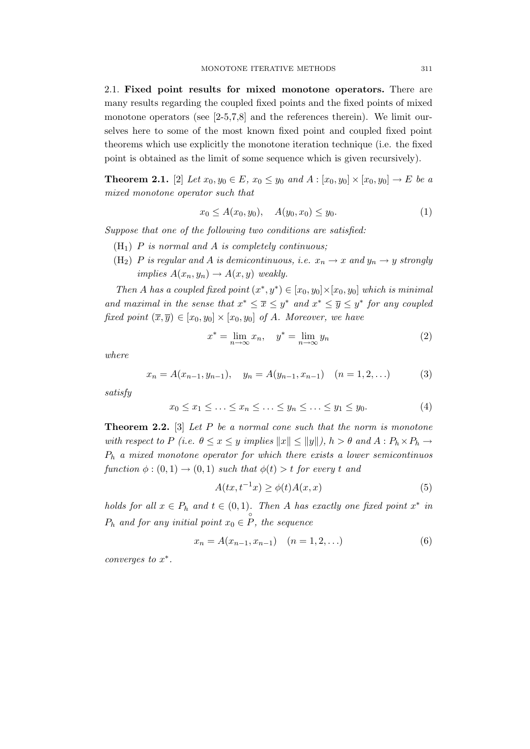2.1. Fixed point results for mixed monotone operators. There are many results regarding the coupled fixed points and the fixed points of mixed monotone operators (see  $[2-5,7,8]$  and the references therein). We limit ourselves here to some of the most known fixed point and coupled fixed point theorems which use explicitly the monotone iteration technique (i.e. the fixed point is obtained as the limit of some sequence which is given recursively).

**Theorem 2.1.** [2] Let  $x_0, y_0 \in E$ ,  $x_0 \le y_0$  and  $A : [x_0, y_0] \times [x_0, y_0] \to E$  be a mixed monotone operator such that

$$
x_0 \le A(x_0, y_0), \quad A(y_0, x_0) \le y_0. \tag{1}
$$

Suppose that one of the following two conditions are satisfied:

- $(H<sub>1</sub>)$  P is normal and A is completely continuous;
- (H<sub>2</sub>) P is regular and A is demicontinuous, i.e.  $x_n \to x$  and  $y_n \to y$  strongly implies  $A(x_n, y_n) \rightarrow A(x, y)$  weakly.

Then A has a coupled fixed point  $(x^*, y^*) \in [x_0, y_0] \times [x_0, y_0]$  which is minimal and maximal in the sense that  $x^* \leq \overline{x} \leq y^*$  and  $x^* \leq \overline{y} \leq y^*$  for any coupled fixed point  $(\overline{x}, \overline{y}) \in [x_0, y_0] \times [x_0, y_0]$  of A. Moreover, we have

$$
x^* = \lim_{n \to \infty} x_n, \quad y^* = \lim_{n \to \infty} y_n \tag{2}
$$

where

$$
x_n = A(x_{n-1}, y_{n-1}), \quad y_n = A(y_{n-1}, x_{n-1}) \quad (n = 1, 2, ...)
$$
 (3)

satisfy

$$
x_0 \le x_1 \le \ldots \le x_n \le \ldots \le y_n \le \ldots \le y_1 \le y_0. \tag{4}
$$

**Theorem 2.2.** [3] Let  $P$  be a normal cone such that the norm is monotone with respect to P (i.e.  $\theta \le x \le y$  implies  $||x|| \le ||y||$ ),  $h > \theta$  and  $A : P_h \times P_h \to$  $P_h$  a mixed monotone operator for which there exists a lower semicontinuos function  $\phi:(0,1)\to(0,1)$  such that  $\phi(t)>t$  for every t and

$$
A(tx, t^{-1}x) \ge \phi(t)A(x, x) \tag{5}
$$

holds for all  $x \in P_h$  and  $t \in (0,1)$ . Then A has exactly one fixed point  $x^*$  in  $P_h$  and for any initial point  $x_0 \in \overset{\circ}{P}$ , the sequence

$$
x_n = A(x_{n-1}, x_{n-1}) \quad (n = 1, 2, \ldots)
$$
 (6)

converges to  $x^*$ .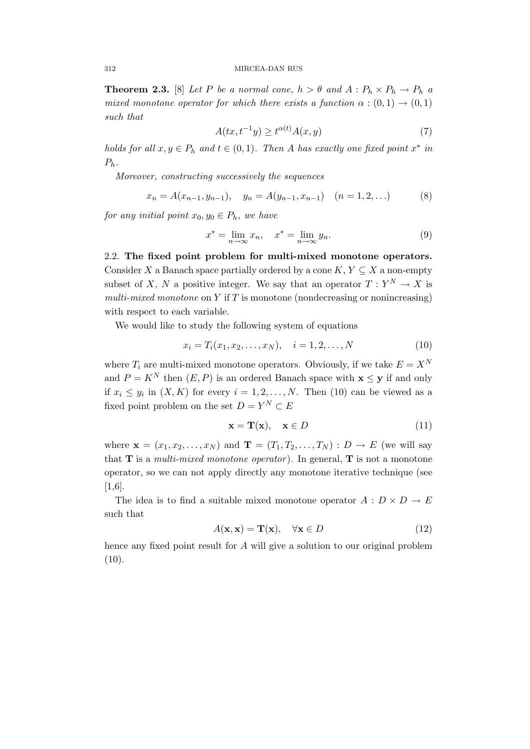**Theorem 2.3.** [8] Let P be a normal cone,  $h > \theta$  and  $A : P_h \times P_h \to P_h$  a mixed monotone operator for which there exists a function  $\alpha : (0,1) \rightarrow (0,1)$ such that

$$
A(tx, t^{-1}y) \ge t^{\alpha(t)}A(x, y) \tag{7}
$$

holds for all  $x, y \in P_h$  and  $t \in (0, 1)$ . Then A has exactly one fixed point  $x^*$  in  $P_h$ .

Moreover, constructing successively the sequences

$$
x_n = A(x_{n-1}, y_{n-1}), \quad y_n = A(y_{n-1}, x_{n-1}) \quad (n = 1, 2, ...)
$$
 (8)

for any initial point  $x_0, y_0 \in P_h$ , we have

$$
x^* = \lim_{n \to \infty} x_n, \quad x^* = \lim_{n \to \infty} y_n.
$$
 (9)

2.2. The fixed point problem for multi-mixed monotone operators. Consider X a Banach space partially ordered by a cone  $K, Y \subseteq X$  a non-empty subset of X, N a positive integer. We say that an operator  $T: Y^N \to X$  is multi-mixed monotone on Y if T is monotone (nondecreasing or nonincreasing) with respect to each variable.

We would like to study the following system of equations

$$
x_i = T_i(x_1, x_2, \dots, x_N), \quad i = 1, 2, \dots, N
$$
\n(10)

where  $T_i$  are multi-mixed monotone operators. Obviously, if we take  $E = X^N$ and  $P = K^N$  then  $(E, P)$  is an ordered Banach space with  $\mathbf{x} \leq \mathbf{y}$  if and only if  $x_i \leq y_i$  in  $(X, K)$  for every  $i = 1, 2, ..., N$ . Then (10) can be viewed as a fixed point problem on the set  $D = Y^N \subset E$ 

$$
\mathbf{x} = \mathbf{T}(\mathbf{x}), \quad \mathbf{x} \in D \tag{11}
$$

where  $\mathbf{x} = (x_1, x_2, \dots, x_N)$  and  $\mathbf{T} = (T_1, T_2, \dots, T_N) : D \to E$  (we will say that  $T$  is a *multi-mixed monotone operator*). In general,  $T$  is not a monotone operator, so we can not apply directly any monotone iterative technique (see [1,6].

The idea is to find a suitable mixed monotone operator  $A: D \times D \to E$ such that

$$
A(\mathbf{x}, \mathbf{x}) = \mathbf{T}(\mathbf{x}), \quad \forall \mathbf{x} \in D \tag{12}
$$

hence any fixed point result for A will give a solution to our original problem  $(10).$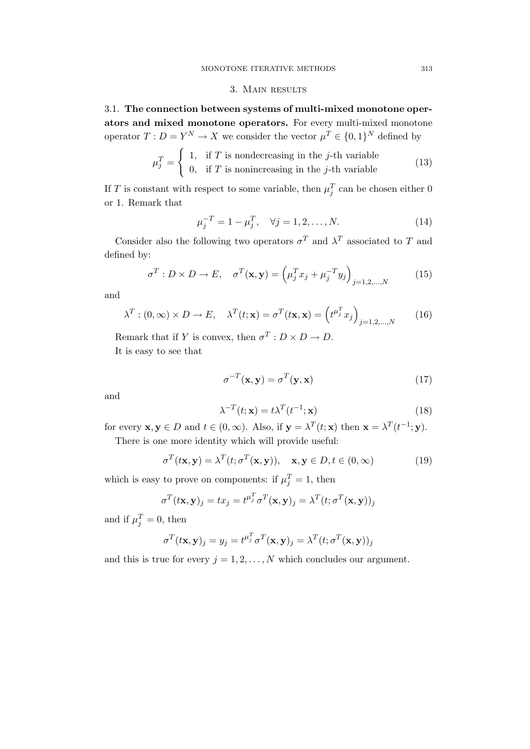### 3. Main results

3.1. The connection between systems of multi-mixed monotone operators and mixed monotone operators. For every multi-mixed monotone operator  $T: D = Y^N \to X$  we consider the vector  $\mu^T \in \{0,1\}^N$  defined by

$$
\mu_j^T = \begin{cases} 1, & \text{if } T \text{ is nondecreasing in the } j\text{-th variable} \\ 0, & \text{if } T \text{ is nonincreasing in the } j\text{-th variable} \end{cases}
$$
(13)

If T is constant with respect to some variable, then  $\mu_j^T$  can be chosen either 0 or 1. Remark that

$$
\mu_j^{-T} = 1 - \mu_j^T, \quad \forall j = 1, 2, \dots, N. \tag{14}
$$

Consider also the following two operators  $\sigma^T$  and  $\lambda^T$  associated to T and defined by:

$$
\sigma^T : D \times D \to E, \quad \sigma^T(\mathbf{x}, \mathbf{y}) = \left(\mu_j^T x_j + \mu_j^{-T} y_j\right)_{j=1,2,\dots,N} \tag{15}
$$

and

$$
\lambda^T : (0, \infty) \times D \to E, \quad \lambda^T(t; \mathbf{x}) = \sigma^T(t; \mathbf{x}) = \left(t^{\mu_j^T} x_j\right)_{j=1, 2, \dots, N} \tag{16}
$$

Remark that if Y is convex, then  $\sigma^T : D \times D \to D$ . It is easy to see that

$$
\sigma^{-T}(\mathbf{x}, \mathbf{y}) = \sigma^{T}(\mathbf{y}, \mathbf{x})
$$
\n(17)

and

$$
\lambda^{-T}(t; \mathbf{x}) = t\lambda^{T}(t^{-1}; \mathbf{x})
$$
\n(18)

for every  $\mathbf{x}, \mathbf{y} \in D$  and  $t \in (0, \infty)$ . Also, if  $\mathbf{y} = \lambda^T(t; \mathbf{x})$  then  $\mathbf{x} = \lambda^T(t^{-1}; \mathbf{y})$ .

There is one more identity which will provide useful:

$$
\sigma^T(t\mathbf{x}, \mathbf{y}) = \lambda^T(t; \sigma^T(\mathbf{x}, \mathbf{y})), \quad \mathbf{x}, \mathbf{y} \in D, t \in (0, \infty)
$$
 (19)

which is easy to prove on components: if  $\mu_j^T = 1$ , then

$$
\sigma^T(t\mathbf{x}, \mathbf{y})_j = tx_j = t^{\mu_j^T} \sigma^T(\mathbf{x}, \mathbf{y})_j = \lambda^T(t; \sigma^T(\mathbf{x}, \mathbf{y}))_j
$$

and if  $\mu_j^T = 0$ , then

$$
\sigma^T(t\mathbf{x}, \mathbf{y})_j = y_j = t^{\mu_j^T} \sigma^T(\mathbf{x}, \mathbf{y})_j = \lambda^T(t; \sigma^T(\mathbf{x}, \mathbf{y}))_j
$$

and this is true for every  $j = 1, 2, ..., N$  which concludes our argument.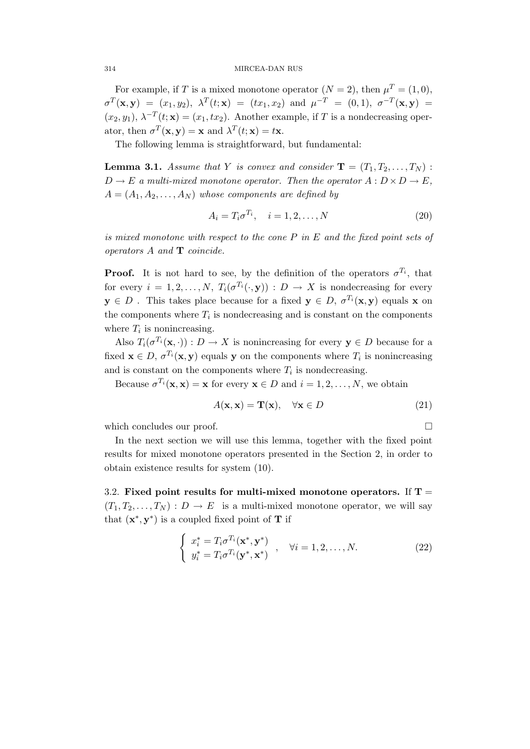#### 314 MIRCEA-DAN RUS

For example, if T is a mixed monotone operator  $(N = 2)$ , then  $\mu^T = (1, 0)$ ,  $\sigma^T(\mathbf{x}, \mathbf{y}) = (x_1, y_2), \; \lambda^T(t; \mathbf{x}) = (tx_1, x_2) \; \text{ and } \; \mu^{-T} = (0, 1), \; \sigma^{-T}(\mathbf{x}, \mathbf{y}) =$  $(x_2, y_1)$ ,  $\lambda^{-T}(t; \mathbf{x}) = (x_1, tx_2)$ . Another example, if T is a nondecreasing operator, then  $\sigma^T(\mathbf{x}, \mathbf{y}) = \mathbf{x}$  and  $\lambda^T(t; \mathbf{x}) = t\mathbf{x}$ .

The following lemma is straightforward, but fundamental:

**Lemma 3.1.** Assume that Y is convex and consider  $\mathbf{T} = (T_1, T_2, \ldots, T_N)$ :  $D \to E$  a multi-mixed monotone operator. Then the operator  $A: D \times D \to E$ ,  $A = (A_1, A_2, \ldots, A_N)$  whose components are defined by

$$
A_i = T_i \sigma^{T_i}, \quad i = 1, 2, \dots, N
$$
\n<sup>(20)</sup>

is mixed monotone with respect to the cone P in E and the fixed point sets of operators A and T coincide.

**Proof.** It is not hard to see, by the definition of the operators  $\sigma^{T_i}$ , that for every  $i = 1, 2, ..., N$ ,  $T_i(\sigma^{T_i}(\cdot, y)) : D \to X$  is nondecreasing for every  $y \in D$ . This takes place because for a fixed  $y \in D$ ,  $\sigma^{T_i}(x, y)$  equals x on the components where  $T_i$  is nondecreasing and is constant on the components where  $T_i$  is nonincreasing.

Also  $T_i(\sigma^{T_i}(\mathbf{x},\cdot)) : D \to X$  is nonincreasing for every  $\mathbf{y} \in D$  because for a fixed  $\mathbf{x} \in D$ ,  $\sigma^{T_i}(\mathbf{x}, \mathbf{y})$  equals y on the components where  $T_i$  is nonincreasing and is constant on the components where  $T_i$  is nondecreasing.

Because  $\sigma^{T_i}(\mathbf{x}, \mathbf{x}) = \mathbf{x}$  for every  $\mathbf{x} \in D$  and  $i = 1, 2, ..., N$ , we obtain

$$
A(\mathbf{x}, \mathbf{x}) = \mathbf{T}(\mathbf{x}), \quad \forall \mathbf{x} \in D \tag{21}
$$

which concludes our proof.

In the next section we will use this lemma, together with the fixed point results for mixed monotone operators presented in the Section 2, in order to obtain existence results for system (10).

3.2. Fixed point results for multi-mixed monotone operators. If  $T =$  $(T_1, T_2, \ldots, T_N) : D \to E$  is a multi-mixed monotone operator, we will say that  $(\mathbf{x}^*, \mathbf{y}^*)$  is a coupled fixed point of **T** if

$$
\begin{cases}\n x_i^* = T_i \sigma^{T_i}(\mathbf{x}^*, \mathbf{y}^*) \\
 y_i^* = T_i \sigma^{T_i}(\mathbf{y}^*, \mathbf{x}^*)\n\end{cases},\n\forall i = 1, 2, \dots, N.
$$
\n(22)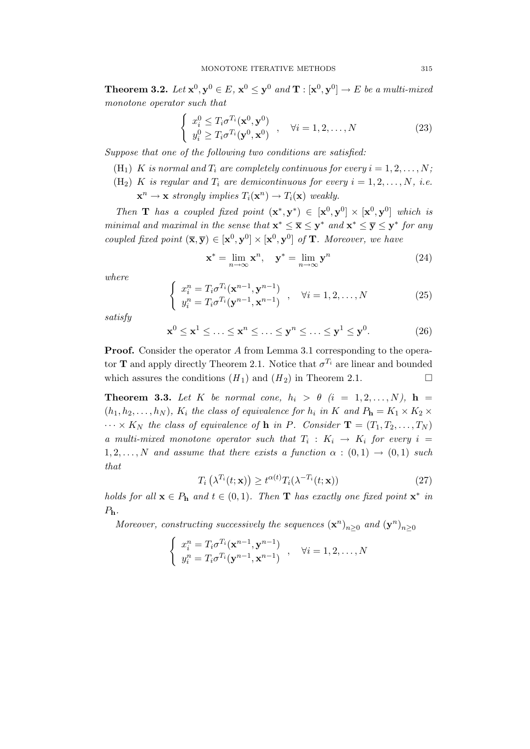**Theorem 3.2.** Let  $\mathbf{x}^0, \mathbf{y}^0 \in E$ ,  $\mathbf{x}^0 \leq \mathbf{y}^0$  and  $\mathbf{T} : [\mathbf{x}^0, \mathbf{y}^0] \to E$  be a multi-mixed monotone operator such that

$$
\begin{cases}\nx_i^0 \leq T_i \sigma^{T_i}(\mathbf{x}^0, \mathbf{y}^0) \\
y_i^0 \geq T_i \sigma^{T_i}(\mathbf{y}^0, \mathbf{x}^0)\n\end{cases}, \quad \forall i = 1, 2, \dots, N
$$
\n(23)

Suppose that one of the following two conditions are satisfied:

- (H<sub>1</sub>) K is normal and  $T_i$  are completely continuous for every  $i = 1, 2, ..., N$ ;
- (H<sub>2</sub>) K is regular and  $T_i$  are demicontinuous for every  $i = 1, 2, ..., N$ , i.e.

 $\mathbf{x}^n \to \mathbf{x}$  strongly implies  $T_i(\mathbf{x}^n) \to T_i(\mathbf{x})$  weakly.

Then **T** has a coupled fixed point  $(x^*, y^*) \in [x^0, y^0] \times [x^0, y^0]$  which is minimal and maximal in the sense that  $\mathbf{x}^* \leq \overline{\mathbf{x}} \leq \mathbf{y}^*$  and  $\mathbf{x}^* \leq \overline{\mathbf{y}} \leq \mathbf{y}^*$  for any coupled fixed point  $(\overline{\mathbf{x}}, \overline{\mathbf{y}}) \in [\mathbf{x}^0, \mathbf{y}^0] \times [\mathbf{x}^0, \mathbf{y}^0]$  of **T**. Moreover, we have

$$
\mathbf{x}^* = \lim_{n \to \infty} \mathbf{x}^n, \quad \mathbf{y}^* = \lim_{n \to \infty} \mathbf{y}^n \tag{24}
$$

where

$$
\begin{cases}\n x_i^n = T_i \sigma^{T_i}(\mathbf{x}^{n-1}, \mathbf{y}^{n-1}) \\
 y_i^n = T_i \sigma^{T_i}(\mathbf{y}^{n-1}, \mathbf{x}^{n-1})\n\end{cases}, \quad \forall i = 1, 2, \dots, N
$$
\n(25)

satisfy

$$
\mathbf{x}^0 \le \mathbf{x}^1 \le \ldots \le \mathbf{x}^n \le \ldots \le \mathbf{y}^n \le \ldots \le \mathbf{y}^1 \le \mathbf{y}^0. \tag{26}
$$

Proof. Consider the operator A from Lemma 3.1 corresponding to the operator **T** and apply directly Theorem 2.1. Notice that  $\sigma^{T_i}$  are linear and bounded which assures the conditions  $(H_1)$  and  $(H_2)$  in Theorem 2.1.

**Theorem 3.3.** Let K be normal cone,  $h_i > \theta$  (i = 1,2, ..., N), h =  $(h_1, h_2, \ldots, h_N)$ ,  $K_i$  the class of equivalence for  $h_i$  in K and  $P_h = K_1 \times K_2 \times$  $\cdots \times K_N$  the class of equivalence of **h** in *P*. Consider **T** =  $(T_1, T_2, \ldots, T_N)$ a multi-mixed monotone operator such that  $T_i: K_i \rightarrow K_i$  for every  $i =$  $1, 2, \ldots, N$  and assume that there exists a function  $\alpha : (0, 1) \rightarrow (0, 1)$  such that

$$
T_i\left(\lambda^{T_i}(t; \mathbf{x})\right) \ge t^{\alpha(t)} T_i(\lambda^{-T_i}(t; \mathbf{x}))\tag{27}
$$

holds for all  $\mathbf{x} \in P_h$  and  $t \in (0,1)$ . Then **T** has exactly one fixed point  $\mathbf{x}^*$  in  $P_{\bf h}$ .

Moreover, constructing successively the sequences  $(\mathbf{x}^n)_{n\geq 0}$  and  $(\mathbf{y}^n)_{n\geq 0}$ 

$$
\begin{cases}\n x_i^n = T_i \sigma^{T_i}(\mathbf{x}^{n-1}, \mathbf{y}^{n-1}) \\
 y_i^n = T_i \sigma^{T_i}(\mathbf{y}^{n-1}, \mathbf{x}^{n-1})\n\end{cases}, \quad \forall i = 1, 2, \dots, N
$$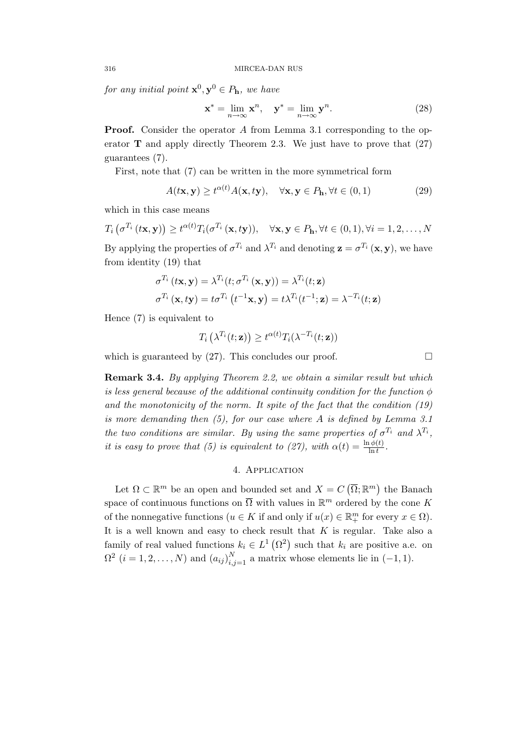for any initial point  $\mathbf{x}^0, \mathbf{y}^0 \in P_{\mathbf{h}}$ , we have

$$
\mathbf{x}^* = \lim_{n \to \infty} \mathbf{x}^n, \quad \mathbf{y}^* = \lim_{n \to \infty} \mathbf{y}^n.
$$
 (28)

**Proof.** Consider the operator A from Lemma 3.1 corresponding to the operator  $\bf{T}$  and apply directly Theorem 2.3. We just have to prove that (27) guarantees (7).

First, note that (7) can be written in the more symmetrical form

$$
A(t\mathbf{x}, \mathbf{y}) \ge t^{\alpha(t)} A(\mathbf{x}, t\mathbf{y}), \quad \forall \mathbf{x}, \mathbf{y} \in P_{\mathbf{h}}, \forall t \in (0, 1)
$$
 (29)

which in this case means

$$
T_i\left(\sigma^{T_i}\left(t\mathbf{x},\mathbf{y}\right)\right) \ge t^{\alpha(t)}T_i(\sigma^{T_i}\left(\mathbf{x},t\mathbf{y}\right)), \quad \forall \mathbf{x},\mathbf{y} \in P_\mathbf{h}, \forall t \in (0,1), \forall i = 1,2,\ldots,N
$$
  
By applying the properties of  $\sigma^{T_i}$  and  $\lambda^{T_i}$  and denoting  $\mathbf{z} = \sigma^{T_i}\left(\mathbf{x},\mathbf{y}\right)$ , we have from identity (19) that

$$
\sigma^{T_i}(t\mathbf{x}, \mathbf{y}) = \lambda^{T_i}(t; \sigma^{T_i}(\mathbf{x}, \mathbf{y})) = \lambda^{T_i}(t; \mathbf{z})
$$

$$
\sigma^{T_i}(\mathbf{x}, t\mathbf{y}) = t\sigma^{T_i}(t^{-1}\mathbf{x}, \mathbf{y}) = t\lambda^{T_i}(t^{-1}; \mathbf{z}) = \lambda^{-T_i}(t; \mathbf{z})
$$

Hence (7) is equivalent to

$$
T_i\left(\lambda^{T_i}(t;{\bf z})\right) \ge t^{\alpha(t)} T_i(\lambda^{-T_i}(t;{\bf z}))
$$

which is guaranteed by (27). This concludes our proof.  $\Box$ 

Remark 3.4. By applying Theorem 2.2, we obtain a similar result but which is less general because of the additional continuity condition for the function  $\phi$ and the monotonicity of the norm. It spite of the fact that the condition (19) is more demanding then (5), for our case where A is defined by Lemma 3.1 the two conditions are similar. By using the same properties of  $\sigma^{T_i}$  and  $\lambda^{T_i}$ , it is easy to prove that (5) is equivalent to (27), with  $\alpha(t) = \frac{\ln \phi(t)}{\ln t}$ .

## 4. Application

Let  $\Omega \subset \mathbb{R}^m$  be an open and bounded set and  $X = C(\overline{\Omega}; \mathbb{R}^m)$  the Banach space of continuous functions on  $\overline{\Omega}$  with values in  $\mathbb{R}^m$  ordered by the cone K of the nonnegative functions  $(u \in K$  if and only if  $u(x) \in \mathbb{R}^m_+$  for every  $x \in \Omega$ ). It is a well known and easy to check result that  $K$  is regular. Take also a family of real valued functions  $k_i \in L^1(\Omega^2)$  such that  $k_i$  are positive a.e. on  $\Omega^2$   $(i = 1, 2, \ldots, N)$  and  $(a_{ij})_{i,j=1}^N$  a matrix whose elements lie in  $(-1, 1)$ .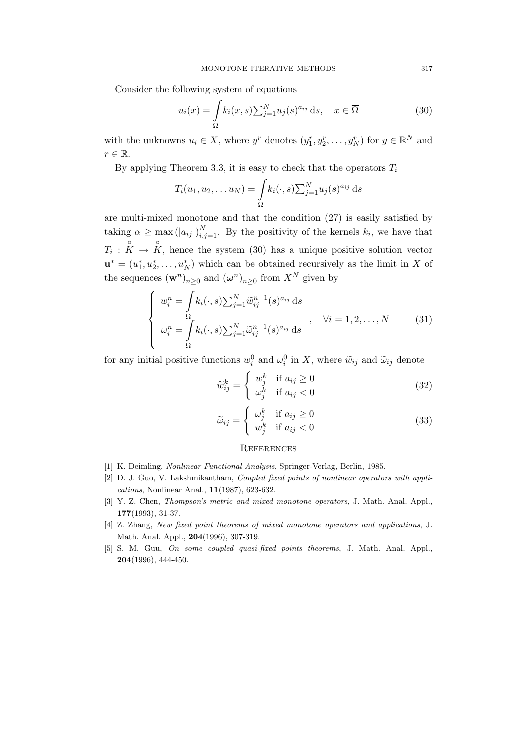Consider the following system of equations

$$
u_i(x) = \int_{\Omega} k_i(x, s) \sum_{j=1}^{N} u_j(s)^{a_{ij}} ds, \quad x \in \overline{\Omega}
$$
 (30)

with the unknowns  $u_i \in X$ , where  $y^r$  denotes  $(y_1^r, y_2^r, \ldots, y_N^r)$  for  $y \in \mathbb{R}^N$  and  $r \in \mathbb{R}$ .

By applying Theorem 3.3, it is easy to check that the operators  $T_i$ 

$$
T_i(u_1, u_2, \dots u_N) = \int_{\Omega} k_i(\cdot, s) \sum_{j=1}^N u_j(s)^{a_{ij}} ds
$$

are multi-mixed monotone and that the condition (27) is easily satisfied by taking  $\alpha \geq \max(|a_{ij}|)_{i,j=1}^N$ . By the positivity of the kernels  $k_i$ , we have that  $T_i: \overset{\circ}{K} \to \overset{\circ}{K}$ , hence the system (30) has a unique positive solution vector  $\mathbf{u}^* = (u_1^*, u_2^*, \dots, u_N^*)$  which can be obtained recursively as the limit in X of the sequences  $(\mathbf{w}^n)_{n\geq 0}$  and  $(\boldsymbol{\omega}^n)_{n\geq 0}$  from  $X^N$  given by

$$
\begin{cases}\nw_i^n = \int k_i(\cdot, s) \sum_{j=1}^N \widetilde{w}_{ij}^{n-1}(s)^{a_{ij}} ds \\
\omega_i^n = \int \limits_{\Omega} k_i(\cdot, s) \sum_{j=1}^N \widetilde{\omega}_{ij}^{n-1}(s)^{a_{ij}} ds\n\end{cases}, \quad \forall i = 1, 2, ..., N
$$
\n(31)

for any initial positive functions  $w_i^0$  and  $\omega_i^0$  in X, where  $\widetilde{w}_{ij}$  and  $\widetilde{\omega}_{ij}$  denote

$$
\widetilde{w}_{ij}^k = \begin{cases}\nw_j^k & \text{if } a_{ij} \ge 0 \\
\omega_j^k & \text{if } a_{ij} < 0\n\end{cases}
$$
\n(32)

$$
\widetilde{\omega}_{ij} = \begin{cases}\n\omega_j^k & \text{if } a_{ij} \ge 0 \\
w_j^k & \text{if } a_{ij} < 0\n\end{cases}
$$
\n(33)

#### **REFERENCES**

- [1] K. Deimling, Nonlinear Functional Analysis, Springer-Verlag, Berlin, 1985.
- [2] D. J. Guo, V. Lakshmikantham, Coupled fixed points of nonlinear operators with applications, Nonlinear Anal., 11(1987), 623-632.
- [3] Y. Z. Chen, *Thompson's metric and mixed monotone operators*, J. Math. Anal. Appl., 177(1993), 31-37.
- [4] Z. Zhang, New fixed point theorems of mixed monotone operators and applications, J. Math. Anal. Appl., 204(1996), 307-319.
- [5] S. M. Guu, On some coupled quasi-fixed points theorems, J. Math. Anal. Appl., 204(1996), 444-450.